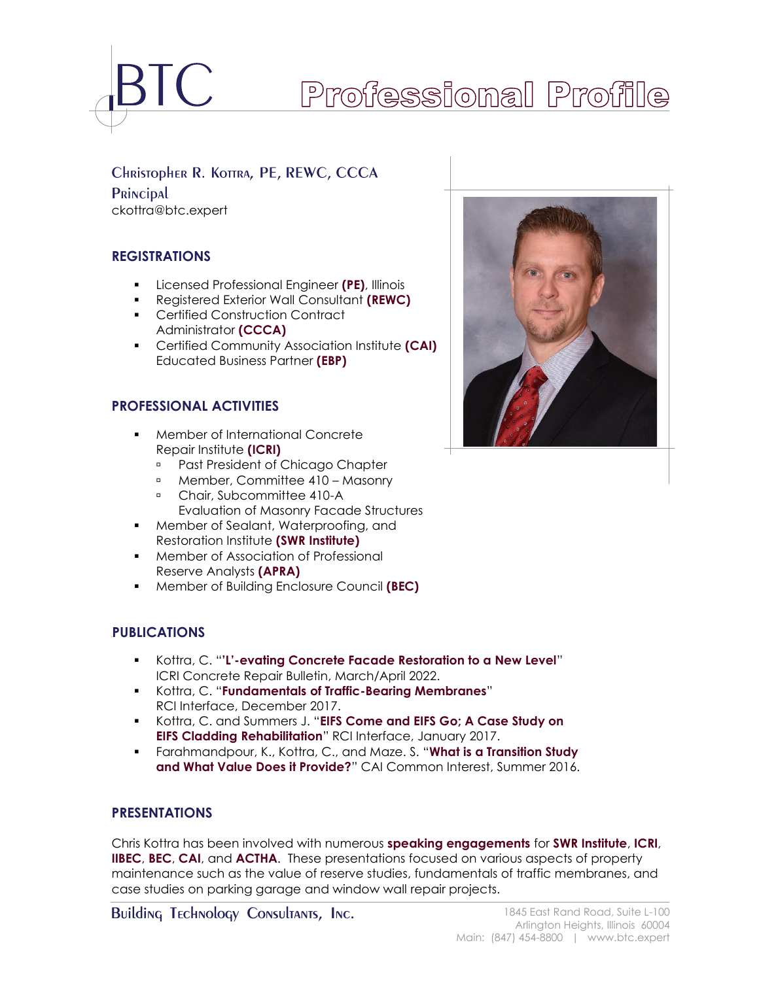

# Professional Profile

# CHRISTOPHER R. KOTTRA, PE, REWC, CCCA

PRINCIPAL ckottra@btc.expert

# **REGISTRATIONS**

- Licensed Professional Engineer **(PE)**, Illinois
- Registered Exterior Wall Consultant **(REWC)**
- Certified Construction Contract Administrator **(CCCA)**
- Certified Community Association Institute **(CAI)** Educated Business Partner **(EBP)**

# **PROFESSIONAL ACTIVITIES**

- Member of International Concrete Repair Institute **(ICRI)**
	- **Past President of Chicago Chapter**
	- Member, Committee 410 Masonry
	- <sup>n</sup> Chair, Subcommittee 410-A Evaluation of Masonry Facade Structures
- Member of Sealant, Waterproofing, and Restoration Institute **(SWR Institute)**
- Member of Association of Professional Reserve Analysts **(APRA)**
- Member of Building Enclosure Council **(BEC)**

# **<sup>0</sup>PUBLICATIONS**

- Kottra, C. "**'L'-evating Concrete Facade Restoration to a New Level**" ICRI Concrete Repair Bulletin, March/April 2022.
- Kottra, C. "**Fundamentals of Traffic-Bearing Membranes**" RCI Interface, December 2017.
- Kottra, C. and Summers J. "**EIFS Come and EIFS Go; A Case Study on EIFS Cladding Rehabilitation**" RCI Interface, January 2017.
- Farahmandpour, K., Kottra, C., and Maze. S. "**What is a Transition Study and What Value Does it Provide?**" CAI Common Interest, Summer 2016.

# **PRESENTATIONS**

Chris Kottra has been involved with numerous **speaking engagements** for **SWR Institute**, **ICRI**, **IIBEC**, **BEC**, **CAI**, and **ACTHA**. These presentations focused on various aspects of property maintenance such as the value of reserve studies, fundamentals of traffic membranes, and case studies on parking garage and window wall repair projects.

Building Technology Consultants, Inc. 1845 East Rand Road, Suite L-100

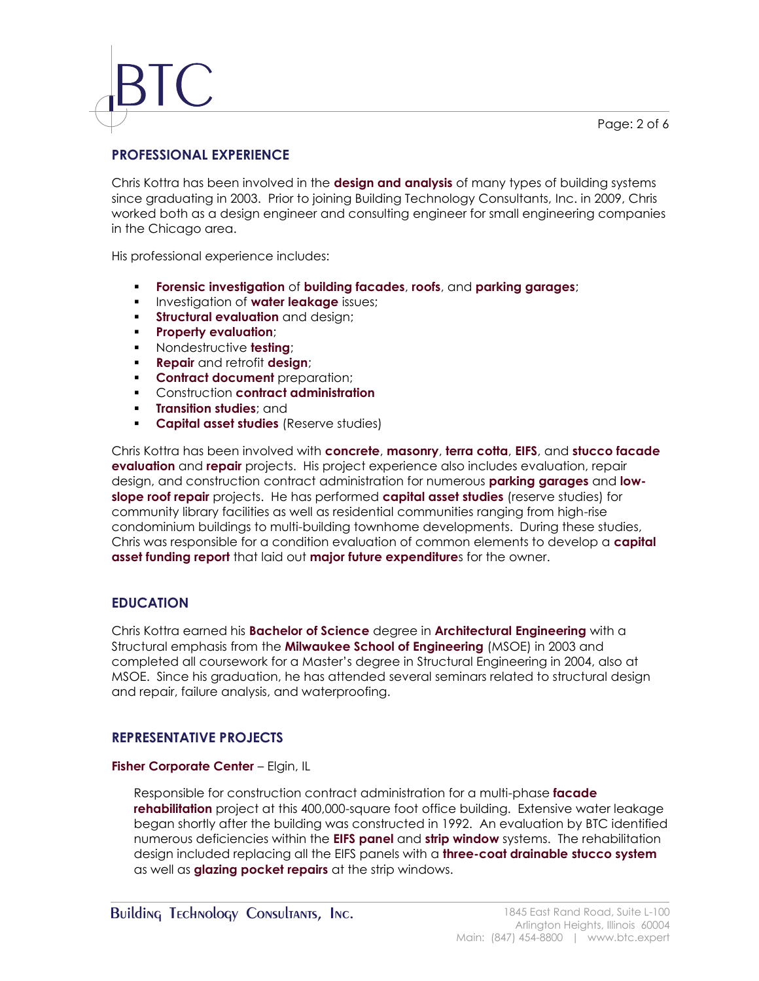# **PROFESSIONAL EXPERIENCE**

Chris Kottra has been involved in the **design and analysis** of many types of building systems since graduating in 2003. Prior to joining Building Technology Consultants, Inc. in 2009, Chris worked both as a design engineer and consulting engineer for small engineering companies in the Chicago area.

His professional experience includes:

- **Forensic investigation** of **building facades**, **roofs**, and **parking garages**;
- **<u>■** Investigation of water leakage issues;</u>
- **EXTE: Structural evaluation** and design:
- **Property evaluation**;
- Nondestructive **testing**;
- **Repair** and retrofit **design**;
- **EXECONTRACT document** preparation;
- Construction **contract administration**
- **Transition studies**; and
- **Capital asset studies** (Reserve studies)

Chris Kottra has been involved with **concrete**, **masonry**, **terra cotta**, **EIFS**, and **stucco facade evaluation** and **repair** projects. His project experience also includes evaluation, repair design, and construction contract administration for numerous **parking garages** and **lowslope roof repair** projects. He has performed **capital asset studies** (reserve studies) for community library facilities as well as residential communities ranging from high-rise condominium buildings to multi-building townhome developments. During these studies, Chris was responsible for a condition evaluation of common elements to develop a **capital asset funding report** that laid out **major future expenditure**s for the owner.

# **EDUCATION**

Chris Kottra earned his **Bachelor of Science** degree in **Architectural Engineering** with a Structural emphasis from the **Milwaukee School of Engineering** (MSOE) in 2003 and completed all coursework for a Master's degree in Structural Engineering in 2004, also at MSOE. Since his graduation, he has attended several seminars related to structural design and repair, failure analysis, and waterproofing.

# **REPRESENTATIVE PROJECTS**

### **Fisher Corporate Center** – Elgin, IL

Responsible for construction contract administration for a multi-phase **facade rehabilitation** project at this 400,000-square foot office building. Extensive water leakage began shortly after the building was constructed in 1992. An evaluation by BTC identified numerous deficiencies within the **EIFS panel** and **strip window** systems. The rehabilitation design included replacing all the EIFS panels with a **three-coat drainable stucco system** as well as **glazing pocket repairs** at the strip windows.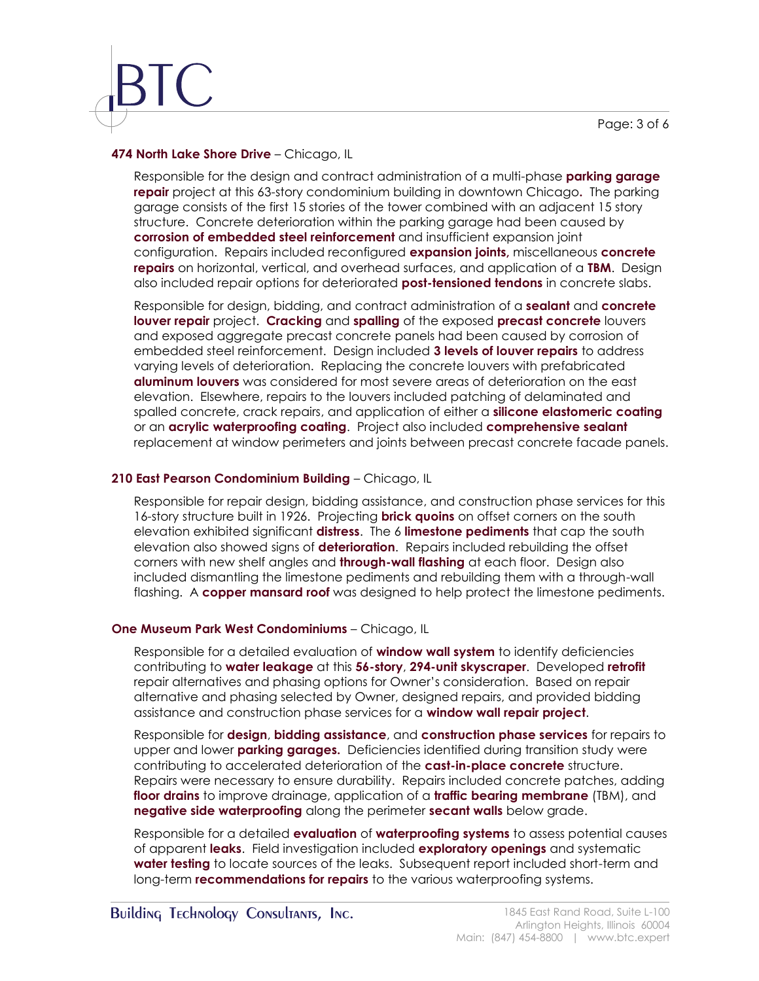Page: 3 of 6

### **474 North Lake Shore Drive** – Chicago, IL

Responsible for the design and contract administration of a multi-phase **parking garage repair** project at this 63-story condominium building in downtown Chicago**.** The parking garage consists of the first 15 stories of the tower combined with an adjacent 15 story structure. Concrete deterioration within the parking garage had been caused by **corrosion of embedded steel reinforcement** and insufficient expansion joint configuration. Repairs included reconfigured **expansion joints,** miscellaneous **concrete repairs** on horizontal, vertical, and overhead surfaces, and application of a **TBM**. Design also included repair options for deteriorated **post-tensioned tendons** in concrete slabs.

Responsible for design, bidding, and contract administration of a **sealant** and **concrete louver repair** project. **Cracking** and **spalling** of the exposed **precast concrete** louvers and exposed aggregate precast concrete panels had been caused by corrosion of embedded steel reinforcement. Design included **3 levels of louver repairs** to address varying levels of deterioration. Replacing the concrete louvers with prefabricated **aluminum louvers** was considered for most severe areas of deterioration on the east elevation. Elsewhere, repairs to the louvers included patching of delaminated and spalled concrete, crack repairs, and application of either a **silicone elastomeric coating** or an **acrylic waterproofing coating**. Project also included **comprehensive sealant** replacement at window perimeters and joints between precast concrete facade panels.

# **210 East Pearson Condominium Building** – Chicago, IL

Responsible for repair design, bidding assistance, and construction phase services for this 16-story structure built in 1926. Projecting **brick quoins** on offset corners on the south elevation exhibited significant **distress**. The 6 **limestone pediments** that cap the south elevation also showed signs of **deterioration**. Repairs included rebuilding the offset corners with new shelf angles and **through-wall flashing** at each floor. Design also included dismantling the limestone pediments and rebuilding them with a through-wall flashing. A **copper mansard roof** was designed to help protect the limestone pediments.

# **One Museum Park West Condominiums** – Chicago, IL

Responsible for a detailed evaluation of **window wall system** to identify deficiencies contributing to **water leakage** at this **56-story**, **294-unit skyscraper**. Developed **retrofit** repair alternatives and phasing options for Owner's consideration. Based on repair alternative and phasing selected by Owner, designed repairs, and provided bidding assistance and construction phase services for a **window wall repair project**.

Responsible for **design**, **bidding assistance**, and **construction phase services** for repairs to upper and lower **parking garages.** Deficiencies identified during transition study were contributing to accelerated deterioration of the **cast-in-place concrete** structure. Repairs were necessary to ensure durability. Repairs included concrete patches, adding **floor drains** to improve drainage, application of a **traffic bearing membrane** (TBM), and **negative side waterproofing** along the perimeter **secant walls** below grade.

Responsible for a detailed **evaluation** of **waterproofing systems** to assess potential causes of apparent **leaks**. Field investigation included **exploratory openings** and systematic **water testing** to locate sources of the leaks. Subsequent report included short-term and long-term **recommendations for repairs** to the various waterproofing systems.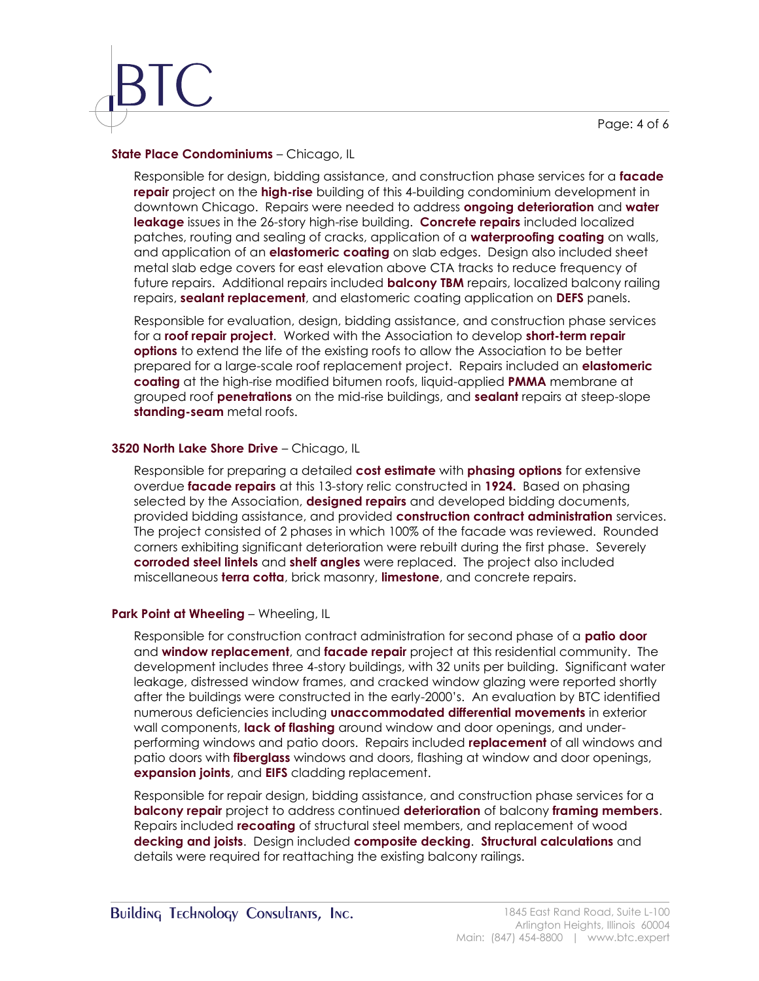Page: 4 of 6

#### **State Place Condominiums** – Chicago, IL

Responsible for design, bidding assistance, and construction phase services for a **facade repair** project on the **high-rise** building of this 4-building condominium development in downtown Chicago. Repairs were needed to address **ongoing deterioration** and **water leakage** issues in the 26-story high-rise building. **Concrete repairs** included localized patches, routing and sealing of cracks, application of a **waterproofing coating** on walls, and application of an **elastomeric coating** on slab edges. Design also included sheet metal slab edge covers for east elevation above CTA tracks to reduce frequency of future repairs. Additional repairs included **balcony TBM** repairs, localized balcony railing repairs, **sealant replacement**, and elastomeric coating application on **DEFS** panels.

Responsible for evaluation, design, bidding assistance, and construction phase services for a **roof repair project**. Worked with the Association to develop **short-term repair options** to extend the life of the existing roofs to allow the Association to be better prepared for a large-scale roof replacement project. Repairs included an **elastomeric coating** at the high-rise modified bitumen roofs, liquid-applied **PMMA** membrane at grouped roof **penetrations** on the mid-rise buildings, and **sealant** repairs at steep-slope **standing-seam** metal roofs.

#### **3520 North Lake Shore Drive** – Chicago, IL

Responsible for preparing a detailed **cost estimate** with **phasing options** for extensive overdue **facade repairs** at this 13-story relic constructed in **1924.** Based on phasing selected by the Association, **designed repairs** and developed bidding documents, provided bidding assistance, and provided **construction contract administration** services. The project consisted of 2 phases in which 100% of the facade was reviewed. Rounded corners exhibiting significant deterioration were rebuilt during the first phase. Severely **corroded steel lintels** and **shelf angles** were replaced. The project also included miscellaneous **terra cotta**, brick masonry, **limestone**, and concrete repairs.

### **Park Point at Wheeling** – Wheeling, IL

Responsible for construction contract administration for second phase of a **patio door** and **window replacement**, and **facade repair** project at this residential community. The development includes three 4-story buildings, with 32 units per building. Significant water leakage, distressed window frames, and cracked window glazing were reported shortly after the buildings were constructed in the early-2000's. An evaluation by BTC identified numerous deficiencies including **unaccommodated differential movements** in exterior wall components, **lack of flashing** around window and door openings, and underperforming windows and patio doors. Repairs included **replacement** of all windows and patio doors with **fiberglass** windows and doors, flashing at window and door openings, **expansion joints**, and **EIFS** cladding replacement.

Responsible for repair design, bidding assistance, and construction phase services for a **balcony repair** project to address continued **deterioration** of balcony **framing members**. Repairs included **recoating** of structural steel members, and replacement of wood **decking and joists**. Design included **composite decking**. **Structural calculations** and details were required for reattaching the existing balcony railings.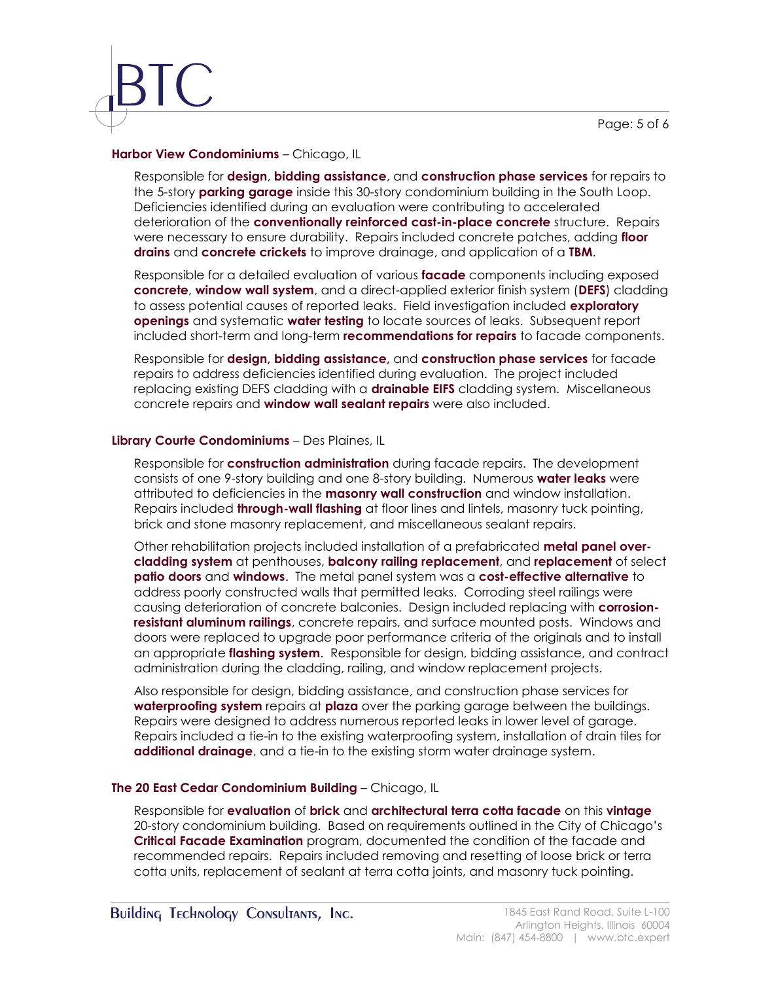Page: 5 of 6

#### **Harbor View Condominiums** – Chicago, IL

Responsible for **design**, **bidding assistance**, and **construction phase services** for repairs to the 5-story **parking garage** inside this 30-story condominium building in the South Loop. Deficiencies identified during an evaluation were contributing to accelerated deterioration of the **conventionally reinforced cast-in-place concrete** structure. Repairs were necessary to ensure durability. Repairs included concrete patches, adding **floor drains** and **concrete crickets** to improve drainage, and application of a **TBM**.

Responsible for a detailed evaluation of various **facade** components including exposed **concrete**, **window wall system**, and a direct-applied exterior finish system (**DEFS**) cladding to assess potential causes of reported leaks. Field investigation included **exploratory openings** and systematic **water testing** to locate sources of leaks. Subsequent report included short-term and long-term **recommendations for repairs** to facade components.

Responsible for **design, bidding assistance,** and **construction phase services** for facade repairs to address deficiencies identified during evaluation. The project included replacing existing DEFS cladding with a **drainable EIFS** cladding system. Miscellaneous concrete repairs and **window wall sealant repairs** were also included.

### **Library Courte Condominiums** – Des Plaines, IL

Responsible for **construction administration** during facade repairs. The development consists of one 9-story building and one 8-story building. Numerous **water leaks** were attributed to deficiencies in the **masonry wall construction** and window installation. Repairs included **through-wall flashing** at floor lines and lintels, masonry tuck pointing, brick and stone masonry replacement, and miscellaneous sealant repairs.

Other rehabilitation projects included installation of a prefabricated **metal panel overcladding system** at penthouses, **balcony railing replacement**, and **replacement** of select **patio doors** and **windows**. The metal panel system was a **cost-effective alternative** to address poorly constructed walls that permitted leaks. Corroding steel railings were causing deterioration of concrete balconies. Design included replacing with **corrosionresistant aluminum railings**, concrete repairs, and surface mounted posts. Windows and doors were replaced to upgrade poor performance criteria of the originals and to install an appropriate **flashing system**. Responsible for design, bidding assistance, and contract administration during the cladding, railing, and window replacement projects.

Also responsible for design, bidding assistance, and construction phase services for **waterproofing system** repairs at **plaza** over the parking garage between the buildings. Repairs were designed to address numerous reported leaks in lower level of garage. Repairs included a tie-in to the existing waterproofing system, installation of drain tiles for **additional drainage**, and a tie-in to the existing storm water drainage system.

### **The 20 East Cedar Condominium Building** – Chicago, IL

Responsible for **evaluation** of **brick** and **architectural terra cotta facade** on this **vintage** 20-story condominium building. Based on requirements outlined in the City of Chicago's **Critical Facade Examination** program, documented the condition of the facade and recommended repairs. Repairs included removing and resetting of loose brick or terra cotta units, replacement of sealant at terra cotta joints, and masonry tuck pointing.